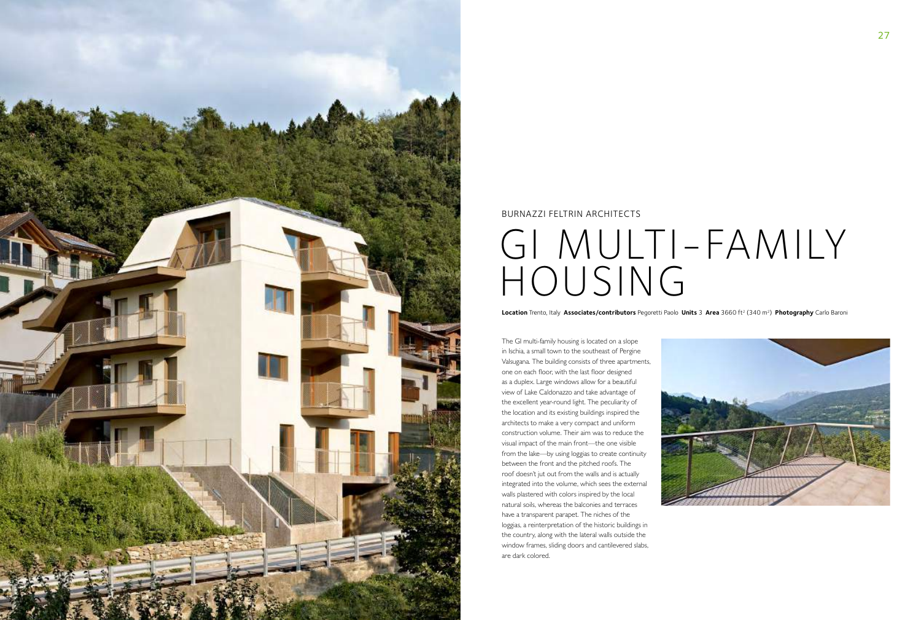

The GI multi-family housing is located on a slope in Ischia, a small town to the southeast of Pergine Valsugana. The building consists of three apartments, one on each floor, with the last floor designed as a duplex. Large windows allow for a beautiful view of Lake Caldonazzo and take advantage of the excellent year-round light. The peculiarity of the location and its existing buildings inspired the architects to make a very compact and uniform construction volume. Their aim was to reduce the visual impact of the main front—the one visible from the lake—by using loggias to create continuity between the front and the pitched roofs. The roof doesn't jut out from the walls and is actually integrated into the volume, which sees the external walls plastered with colors inspired by the local natural soils, whereas the balconies and terraces have a transparent parapet. The niches of the loggias, a reinterpretation of the historic buildings in the country, along with the lateral walls outside the window frames, sliding doors and cantilevered slabs, are dark colored.



**Location** Trento, Italy **Associates/contributors** Pegoretti Paolo **Units** 3 **Area** 3660 ft2 (340 m2) **Photography** Carlo Baroni

## GI MULTI-FAMILY HOUSING

## BURNAZZI FELTRIN ARCHITECTS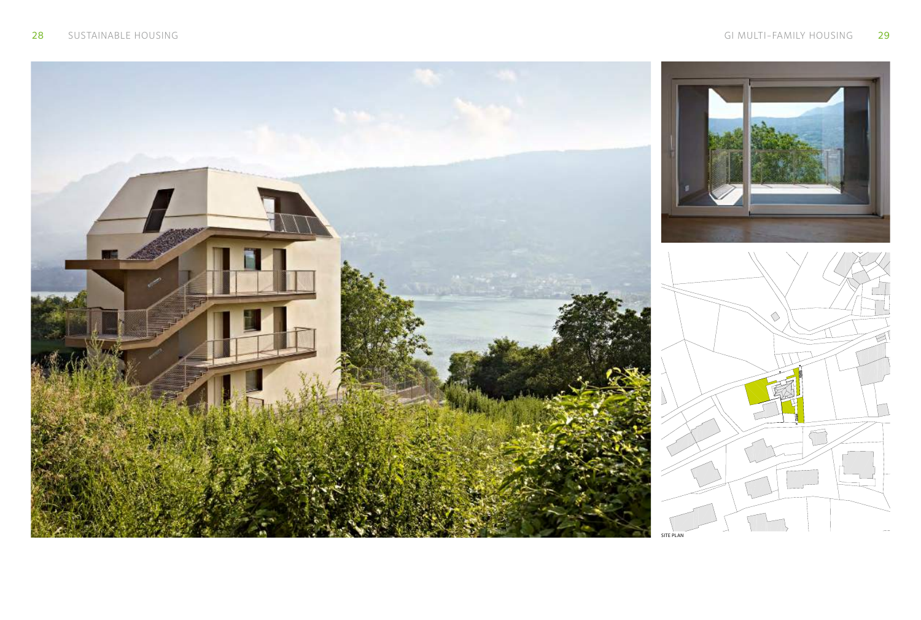